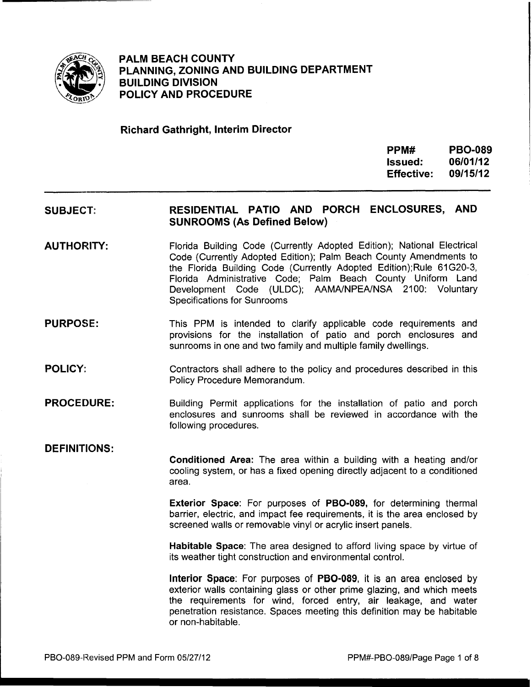

**PALM BEACH COUNTY PLANNING, ZONING AND BUILDING DEPARTMENT BUILDING DIVISION POLICY AND PROCEDURE** 

### **Richard Gathright, Interim Director**

| PPM#              | <b>PBO-089</b> |
|-------------------|----------------|
| lssued:           | 06/01/12       |
| <b>Effective:</b> | 09/15/12       |

#### **SUBJECT: RESIDENTIAL PATIO AND PORCH ENCLOSURES, AND SUNROOMS (As Defined Below)**

- **AUTHORITY:**  Florida Building Code (Currently Adopted Edition); National Electrical Code (Currently Adopted Edition); Palm Beach County Amendments to the Florida Building Code (Currently Adopted Edition);Rule 61G20-3, Florida Administrative Code; Palm Beach County Uniform Land Development Code (ULDC); AAMA/NPEA/NSA 2100: Voluntary Specifications for Sunrooms
- **PURPOSE:**  This PPM is intended to clarify applicable code requirements and provisions for the installation of patio and porch enclosures and sunrooms in one and two family and multiple family dwellings.
- **POLICY:**  Contractors shall adhere to the policy and procedures described in this Policy Procedure Memorandum.
- **PROCEDURE:**  Building Permit applications for the installation of patio and porch enclosures and sunrooms shall be reviewed in accordance with the following procedures.

### **DEFINITIONS:**

**Conditioned Area:** The area within a building with a heating and/or cooling system, or has a fixed opening directly adjacent to a conditioned area.

**Exterior Space:** For purposes of **PB0-089,** for determining thermal barrier, electric, and impact fee requirements, it is the area enclosed by screened walls or removable vinyl or acrylic insert panels.

**Habitable Space:** The area designed to afford living space by virtue of its weather tight construction and environmental control.

**Interior Space:** For purposes of **PB0-089,** it is an area enclosed by exterior walls containing glass or other prime glazing, and which meets the requirements for wind, forced entry, air leakage, and water penetration resistance. Spaces meeting this definition may be habitable or non-habitable.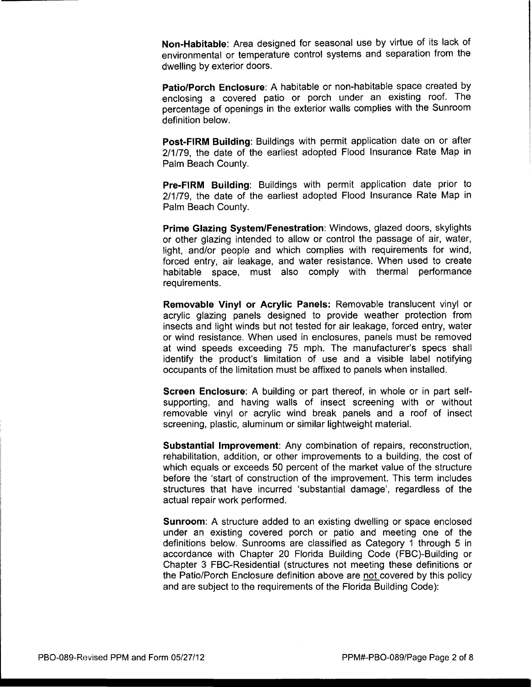**Non-Habitable:** Area designed for seasonal use by virtue of its lack of environmental or temperature control systems and separation from the dwelling by exterior doors.

**Patio/Porch Enclosure:** A habitable or non-habitable space created by enclosing a covered patio or porch under an existing roof. The percentage of openings in the exterior walls complies with the Sunroom definition below.

**Post-FIRM Building:** Buildings with permit application date on or after 2/1/79, the date of the earliest adopted Flood Insurance Rate Map in Palm Beach County.

**Pre-FIRM Building:** Buildings with permit application date prior to 2/1/79, the date of the earliest adopted Flood Insurance Rate Map in Palm Beach County.

**Prime Glazing System/Fenestration:** Windows, glazed doors, skylights or other glazing intended to allow or control the passage of air, water, light, and/or people and which complies with requirements for wind, forced entry, air leakage, and water resistance. When used to create habitable space, must also comply with thermal performance requirements.

**Removable Vinyl or Acrylic Panels:** Removable translucent vinyl or acrylic glazing panels designed to provide weather protection from insects and light winds but not tested for air leakage, forced entry, water or wind resistance. When used in enclosures, panels must be removed at wind speeds exceeding 75 mph. The manufacturer's specs shall identify the product's limitation of use and a visible label notifying occupants of the limitation must be affixed to panels when installed.

**Screen Enclosure:** A building or part thereof, in whole or in part selfsupporting, and having walls of insect screening with or without removable vinyl or acrylic wind break panels and a roof of insect screening, plastic, aluminum or similar lightweight material.

**Substantial Improvement:** Any combination of repairs, reconstruction, rehabilitation, addition, or other improvements to a building, the cost of which equals or exceeds 50 percent of the market value of the structure before the 'start of construction of the improvement. This term includes structures that have incurred 'substantial damage', regardless of the actual repair work performed.

**Sunroom:** A structure added to an existing dwelling or space enclosed under an existing covered porch or patio and meeting one of the definitions below. Sunrooms are classified as Category 1 through 5 in accordance with Chapter 20 Florida Building Code (FBC)-Building or Chapter 3 FBC-Residential (structures not meeting these definitions or the Patio/Porch Enclosure definition above are not covered by this policy and are subject to the requirements of the Florida Building Code):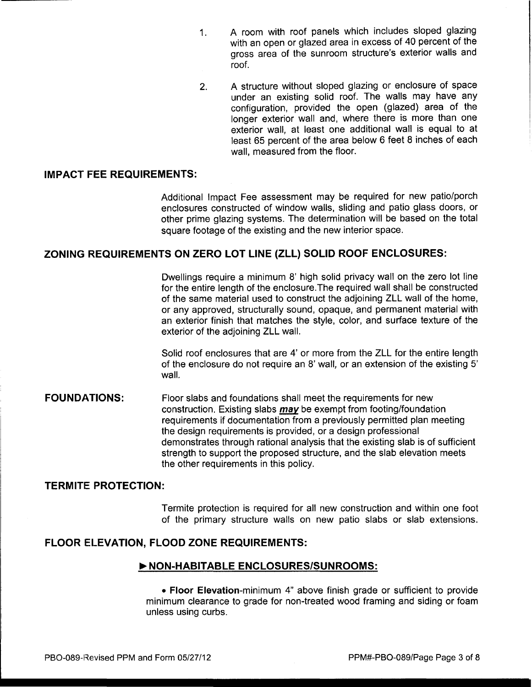- 1. A room with roof panels which includes sloped glazing with an open or glazed area in excess of 40 percent of the gross area of the sunroom structure's exterior walls and roof.
- 2. A structure without sloped glazing or enclosure of space under an existing solid roof. The walls may have any configuration, provided the open (glazed) area of the longer exterior wall and, where there is more than one exterior wall, at least one additional wall is equal to at least 65 percent of the area below 6 feet 8 inches of each wall, measured from the floor.

#### **IMPACT FEE REQUIREMENTS:**

Additional Impact Fee assessment may be required for new patio/porch enclosures constructed of window walls, sliding and patio glass doors, or other prime glazing systems. The determination will be based on the total square footage of the existing and the new interior space.

#### **ZONING REQUIREMENTS ON ZERO LOT LINE (ZLL) SOLID ROOF ENCLOSURES:**

Dwellings require a minimum 8' high solid privacy wall on the zero lot line for the entire length of the enclosure.The required wall shall be constructed of the same material used to construct the adjoining ZLL wall of the home, or any approved, structurally sound, opaque, and permanent material with an exterior finish that matches the style, color, and surface texture of the exterior of the adjoining ZLL wall.

Solid roof enclosures that are 4' or more from the ZLL for the entire length of the enclosure do not require an 8' wall, or an extension of the existing 5' wall.

**FOUNDATIONS:**  Floor slabs and foundations shall meet the requirements for new construction. Existing slabs *may* be exempt from footing/foundation requirements if documentation from a previously permitted plan meeting the design requirements is provided, or a design professional demonstrates through rational analysis that the existing slab is of sufficient strength to support the proposed structure, and the slab elevation meets the other requirements in this policy.

### **TERMITE PROTECTION:**

Termite protection is required for all new construction and within one foot of the primary structure walls on new patio slabs or slab extensions.

#### **FLOOR ELEVATION, FLOOD ZONE REQUIREMENTS:**

#### ~NON-HABITABLE **ENCLOSURES/SUNROOMS:**

• **Floor** Elevation-minimum 4" above finish grade or sufficient to provide minimum clearance to grade for non-treated wood framing and siding or foam unless using curbs.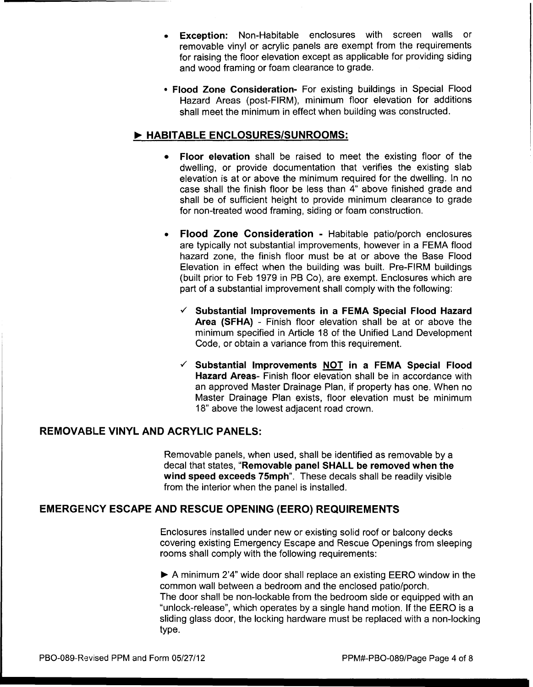- Exception: Non-Habitable enclosures with screen walls or removable vinyl or acrylic panels are exempt from the requirements for raising the floor elevation except as applicable for providing siding and wood framing or foam clearance to grade.
- Flood Zone Consideration- For existing buildings in Special Flood Hazard Areas (post-FIRM), minimum floor elevation for additions shall meet the minimum in effect when building was constructed.

## ~ HABITABLE ENCLOSURES/SUNROOMS:

- Floor elevation shall be raised to meet the existing floor of the dwelling, or provide documentation that verifies the existing slab elevation is at or above the minimum required for the dwelling. In no case shall the finish floor be less than  $4$ " above finished grade and shall be of sufficient height to provide minimum clearance to grade for non-treated wood framing, siding or foam construction.
- Flood Zone Consideration Habitable patio/porch enclosures are typically not substantial improvements, however in a FEMA flood hazard zone, the finish floor must be at or above the Base Flood Elevation in effect when the building was built. Pre-FIRM buildings (built prior to Feb 1979 in PB Co), are exempt. Enclosures which are part of a substantial improvement shall comply with the following:
	- $\checkmark$  Substantial Improvements in a FEMA Special Flood Hazard Area (SFHA) - Finish floor elevation shall be at or above the minimum specified in Article 18 of the Unified Land Development Code, or obtain a variance from this requirement.
	- $\checkmark$  Substantial Improvements NOT in a FEMA Special Flood Hazard Areas- Finish floor elevation shall be in accordance with an approved Master Drainage Plan, if property has one. When no Master Drainage Plan exists, floor elevation must be minimum 18" above the lowest adjacent road crown.

### REMOVABLE VINYL AND ACRYLIC PANELS:

Removable panels, when used, shall be identified as removable by a decal that states, "Removable panel SHALL be removed when the wind speed exceeds 75mph". These decals shall be readily visible from the interior when the panel is installed.

# EMERGENCY ESCAPE AND RESCUE OPENING (EERO) REQUIREMENTS

Enclosures installed under new or existing solid roof or balcony decks covering existing Emergency Escape and Rescue Openings from sleeping rooms shall comply with the following requirements:

 $\blacktriangleright$  A minimum 2'4" wide door shall replace an existing EERO window in the common wall between a bedroom and the enclosed patio/porch. The door shall be non-lockable from the bedroom side or equipped with an "unlock-release", which operates by a single hand motion. If the EERO is a sliding glass door, the locking hardware must be replaced with a non-locking type.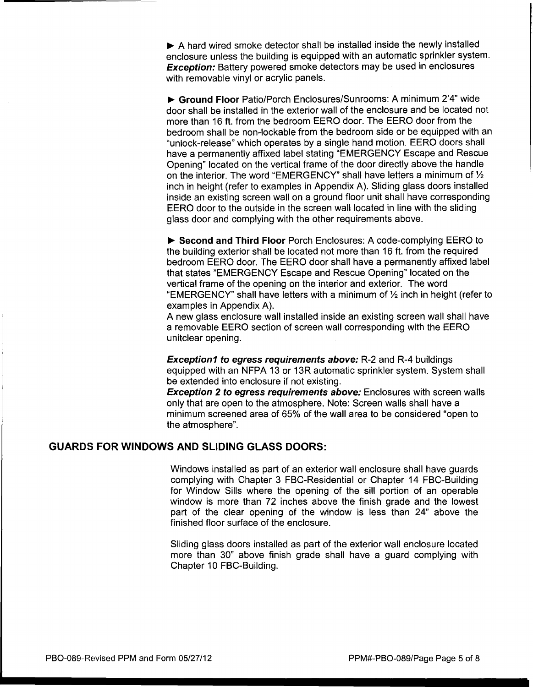$\triangleright$  A hard wired smoke detector shall be installed inside the newly installed enclosure unless the building is equipped with an automatic sprinkler system. **Exception:** Battery powered smoke detectors may be used in enclosures with removable vinyl or acrylic panels.

..,. **Ground Floor** Patio/Porch Enclosures/Sunrooms: A minimum 2'4" wide door shall be installed in the exterior wall of the enclosure and be located not more than 16 ft. from the bedroom EERO door. The EERO door from the bedroom shall be non-lockable from the bedroom side or be equipped with an "unlock-release" which operates by a single hand motion. EERO doors shall have a permanently affixed label stating "EMERGENCY Escape and Rescue Opening" located on the vertical frame of the door directly above the handle on the interior. The word "EMERGENCY" shall have letters a minimum of *Yz*  inch in height (refer to examples in Appendix A). Sliding glass doors installed inside an existing screen wall on a ground floor unit shall have corresponding EERO door to the outside in the screen wall located in line with the sliding glass door and complying with the other requirements above .

▶ Second and Third Floor Porch Enclosures: A code-complying EERO to the building exterior shall be located not more than 16 ft. from the required bedroom EERO door. The EERO door shall have a permanently affixed label that states "EMERGENCY Escape and Rescue Opening" located on the vertical frame of the opening on the interior and exterior. The word "EMERGENCY" shall have letters with a minimum of *Yz* inch in height (refer to examples in Appendix A).

A new glass enclosure wall installed inside an existing screen wall shall have a removable EERO section of screen wall corresponding with the EERO unitclear opening.

**Exception1 to egress requirements above:** R-2 and R-4 buildings equipped with an NFPA 13 or 13R automatic sprinkler system. System shall be extended into enclosure if not existing.

**Exception 2 to egress requirements above:** Enclosures with screen walls only that are open to the atmosphere. Note: Screen walls shall have a minimum screened area of 65% of the wall area to be considered "open to the atmosphere".

### **GUARDS FOR WINDOWS AND SLIDING GLASS DOORS:**

Windows installed as part of an exterior wall enclosure shall have guards complying with Chapter 3 FBC-Residential or Chapter 14 FBC-Building for Window Sills where the opening of the sill portion of an operable window is more than 72 inches above the finish grade and the lowest part of the clear opening of the window is less than 24" above the finished floor surface of the enclosure.

Sliding glass doors installed as part of the exterior wall enclosure located more than 30" above finish grade shall have a guard complying with Chapter 10 FBC-Building.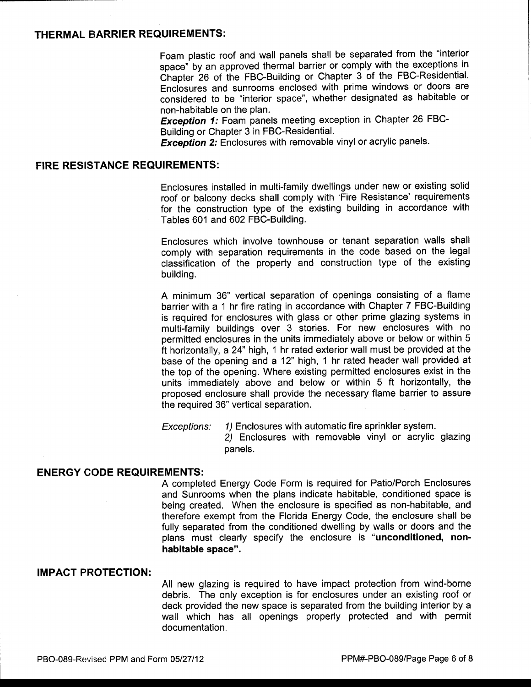#### **THERMAL BARRIER REQUIREMENTS:**

Foam plastic roof and wall panels shall be separated from the "interior space" by an approved thermal barrier or comply with the exceptions in Chapter 26 of the FBC-Building or Chapter 3 of the FBC-Residential. Enclosures and sunrooms enclosed with prime windows or doors are considered to be "interior space", whether designated as habitable or non-habitable on the plan.

**Exception 1:** Foam panels meeting exception in Chapter 26 FBC-Building or Chapter 3 in FBC-Residential.

**Exception 2:** Enclosures with removable vinyl or acrylic panels.

### **FIRE RESISTANCE REQUIREMENTS:**

Enclosures installed in multi-family dwellings under new or existing solid roof or balcony decks shall comply with 'Fire Resistance' requirements for the construction type of the existing building in accordance with Tables 601 and 602 FBC-Building.

Enclosures which involve townhouse or tenant separation walls shall comply with separation requirements in the code based on the legal classification of the property and construction type of the existing building.

A minimum 36" vertical separation of openings consisting of a flame barrier with a 1 hr fire rating in accordance with Chapter 7 FBC-Building is required for enclosures with glass or other prime glazing systems in multi-family buildings over 3 stories. For new enclosures with no permitted enclosures in the units immediately above or below or within 5 ft horizontally, a 24" high, 1 hr rated exterior wall must be provided at the base of the opening and a 12" high, 1 hr rated header wall provided at the top of the opening. Where existing permitted enclosures exist in the units immediately above and below or within 5 ft horizontally, the proposed enclosure shall provide the necessary flame barrier to assure the required 36" vertical separation.

Exceptions: 1) Enclosures with automatic fire sprinkler system.

2) Enclosures with removable vinyl or acrylic glazing panels.

#### **ENERGY CODE REQUIREMENTS:**

A completed Energy Code Form is required for Patio/Porch Enclosures and Sunrooms when the plans indicate habitable, conditioned space is being created. When the enclosure is specified as non-habitable, and therefore exempt from the Florida Energy Code, the enclosure shall be fully separated from the conditioned dwelling by walls or doors and the plans must clearly specify the enclosure is **"unconditioned, nonhabitable space".** 

#### **IMPACT PROTECTION:**

All new glazing is required to have impact protection from wind-borne debris. The only exception is for enclosures under an existing roof or deck provided the new space is separated from the building interior by a wall which has all openings properly protected and with permit documentation.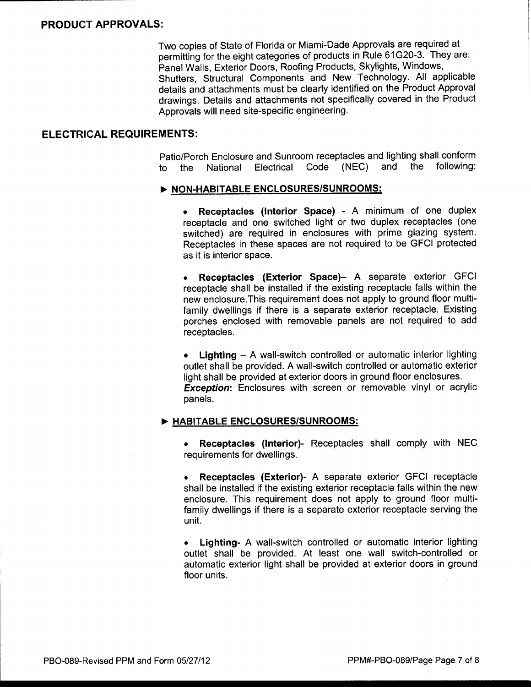Two copies of State of Florida or Miami-Dade Approvals are required at permitting for the eight categories of products in Rule 61G20-3. They are: Panel Walls, Exterior Doors, Roofing Products, Skylights, Windows, Shutters, Structural Components and New Technology. All applicable details and attachments must be clearly identified on the Product Approval drawings. Details and attachments not specifically covered in the Product Approvals will need site-specific engineering.

#### **ELECTRICAL REQUIREMENTS:**

Patio/Porch Enclosure and Sunroom receptacles and lighting shall conform to the National Electrical Code (NEC) and the following:

#### ~ **NON-HABITABLE ENCLOSURES/SUNROOMS:**

• **Receptacles (Interior Space)** - A minimum of one duplex receptacle and one switched light or two duplex receptacles (one switched) are required in enclosures with prime glazing system. Receptacles in these spaces are not required to be GFCI protected as it is interior space.

• **Receptacles (Exterior Space)-** A separate exterior GFCI receptacle shall be installed if the existing receptacle falls within the new enclosure. This requirement does not apply to ground floor multifamily dwellings if there is a separate exterior receptacle. Existing porches enclosed with removable panels are not required to add receptacles.

• **Lighting** - A wall-switch controlled or automatic interior lighting outlet shall be provided. A wall-switch controlled or automatic exterior light shall be provided at exterior doors in ground floor enclosures. **Exception:** Enclosures with screen or removable vinyl or acrylic panels.

#### ~ **HABITABLE ENCLOSURES/SUNROOMS:**

• **Receptacles (Interior)-** Receptacles shall comply with NEC requirements for dwellings.

• **Receptacles (Exterior)-** A separate exterior GFCI receptacle shall be installed if the existing exterior receptacle falls within the new enclosure. This requirement does not apply to ground floor multifamily dwellings if there is a separate exterior receptacle serving the unit.

• **Lighting-** A wall-switch controlled or automatic interior lighting outlet shall be provided. At least one wall switch-controlled or automatic exterior light shall be provided at exterior doors in ground floor units.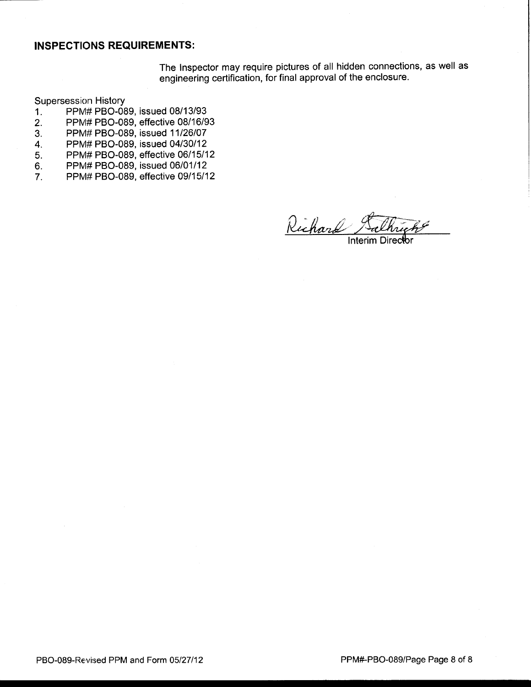#### **INSPECTIONS REQUIREMENTS:**

The Inspector may require pictures of all hidden connections, as well as engineering certification, for final approval of the enclosure.

Supersession History

- 1. PPM# PB0-089, issued 08/13/93
- 2. PPM# PB0-089, effective 08/16/93
- 3. PPM# PB0-089, issued 11/26/07
- 4. PPM# PB0-089, issued 04/30/12
- 5. PPM# PB0-089, effective 06/15/12
- 6. PPM# PB0-089, issued 06/01/12
- 7. PPM# PB0-089, effective 09/15/12

Interim Direc<del>t</del>br